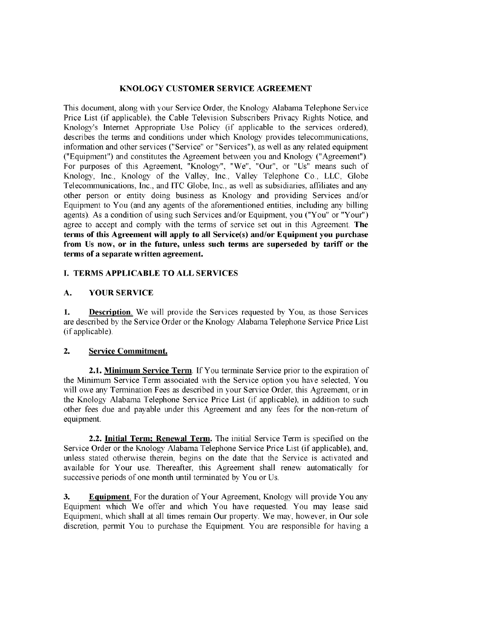### KNOLOGY CUSTOMER SERVICE AGREEMENT

This docwnent, along with your Service Order, the Knology Alabama Telephone Service Price List (if applicable), the Cable Television Subscribers Privacy Rights Notice, and Knology's Internet Appropriate Use Policy (if applicable to the services ordered), describes the terms and conditions under which Knology provides telecommunications, information and other services ("Service" or "Services"), as well as any related equipment ("Equipment") and constitutes the Agreement between you and Knology ("Agreement"). For purposes of this Agreement, "Knology", "We", "Our", or "Us" means such of Knology, Inc., Knology of the Valley, Inc., Valley Telephone Co., LLC, Globe Telecommunications, Inc., and ITC Globe, Inc., as well as subsidiaries, affiliates and any other person or entity doing business as Knology and providing Services and/or Equipment to You (and any agents of the aforementioned entities, including any billing agents). As a condition of using such Services and/or Equipment, you ("You" or "Your") agree to accept and comply with the terms of service set out in this Agreement. The terms of this Agreement wil apply to all Service(s) and/or Equipment you purchase from Us now, or in the future, unless such terms are superseded by tariff or the terms of a separate written agreement.

## I. TERMS APPLICABLE TO ALL SERVICES

## A. YOUR SERVICE

1. Description. We will provide the Services requested by You, as those Services are described by the Service Order or the Knology Alabama Telephone Service Price List (if applicable).

# 2. Service Commitment.

2.1. Minimum Service Term. If You terminate Service prior to the expiration of the Minimwn Service Term associated with the Service option you have selected, You will owe any Termination Fees as described in your Service Order, this Agreement, or in the Knology Alabama Telephone Service Price List (if applicable), in addition to such other fees due and payable under this Agreement and any fees for the non-return of equipment.

2.2. Initial Term; Renewal Term. The initial Service Term is specified on the Service Order or the Knology Alabama Telephone Service Price List (if applicable), and, unless stated otherwise therein, begins on the date that the Service is activated and available for Your use. Thereafer, this Agreement shall renew automatically for successive periods of one month until terminated by You or Us.

3. Equipment. For the duration of Your Agreement, Knology will provide You any Equipment which We offer and which You have requested. You may lease said Equipment, which shall at all times remain Our property. We may, however, in Our sole discretion, permt You to purchase the Equipment. You are responsible for having a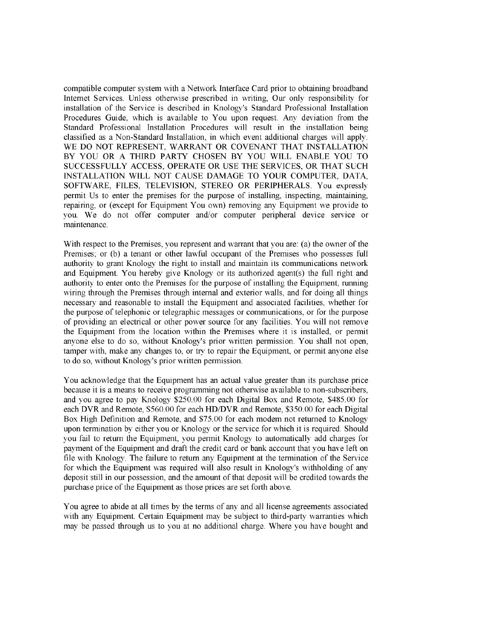compatible computer system with a Network Interface Card prior to obtaining broadband Intemet Services. Unless otherwise prescribed in writing, Our only responsibility for installation of the Service is described in Knology's Standard Professional Installation Procedures Guide, which is available to You upon request. Any deviation from the Standard Professional Installation Procedures will result in the installation being classified as a Non-Standard Installation, in which event additional charges will apply. WE DO NOT REPRESENT, WARRANT OR COVENANT THAT INSTALLATION BY YOU OR A THIRD PARTY CHOSEN BY YOU WILL ENABLE YOU TO SUCCESSFULLY ACCESS, OPERATE OR USE THE SERVICES, OR THAT SUCH INSTALLATION WILL NOT CAUSE DAMAGE TO YOUR COMPUTER, DATA, SOFTWARE, FILES, TELEVISION, STEREO OR PERIPHERALS. You expressly permit Us to enter the premises for the purpose of installing, inspecting, maintaining, repairing, or (except for Equipment You own) removing any Equipment we provide to you. We do not offer computer and/or computer peripheral device service or maintenance.

With respect to the Premises, you represent and warrant that you are: (a) the owner of the Premises; or (b) a tenant or other lawful occupant of the Premises who possesses full authority to grant Knology the right to install and maintain its communications network and Equipment. You hereby give Knology or its authorized agent(s) the full right and authority to enter onto the Premises for the purpose of installing the Equipment, running wiring through the Premises through internal and exterior walls, and for doing all things necessary and reasonable to install the Equipment and associated facilities, whether for the purpose of telephonic or telegraphic messages or communications, or for the purpose of providing an electrical or other power source for any facilities. You will not remove the Equipment from the location within the Premises where it is installed, or permit anyone else to do so, without Knology's prior written permission. You shall not open, tamper with, make any changes to, or try to repair the Equipment, or permit anyone else to do so, without Knology's prior written permission.

You acknowledge that the Equipment has an actual value greater than its purchase price because it is a means to receive programming not otherwise available to non-subscribers, and you agree to pay Knology \$250.00 for each Digital Box and Remote, \$485.00 for each DVR and Remote, \$560.00 for each HD/DVR and Remote, \$350.00 for each Digital Box High Definition and Remote, and \$75.00 for each modem not retured to Knology upon termination by either you or Knology or the service for which it is required. Should you fail to return the Equipment, you permit Knology to automatically add charges for payment of the Equipment and draft the credit card or bank account that you have left on file with Knology. The failure to return any Equipment at the termination of the Service for which the Equipment was required will also result in Knology's withholding of any deposit still in our possession, and the amount of that deposit will be credited towards the purchase price of the Equipment as those prices are set forth above.

You agree to abide at all times by the terms of any and all license agreements associated with any Equipment. Certain Equipment may be subject to third-party warranties which may be passed through us to you at no additional charge. Where you have bought and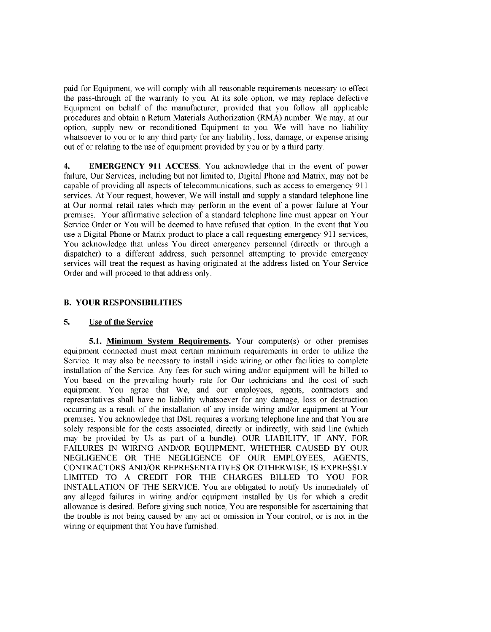paid for Equipment, we will comply with all reasonable requirements necessary to effect the pass-through of the warranty to you. At its sole option, we may replace defective Equipment on behalf of the manufacturer, provided that you follow all applicable procedures and obtain a Return Materials Authorization (RMA) nwnber. We may, at our option, supply new or reconditioned Equipment to you. We will have no liability whatsoever to you or to any third party for any liability, loss, damage, or expense arising out of or relating to the use of equipment provided by you or by a third party.

4. EMERGENCY 911 ACCESS. You acknowledge that in the event of power failure, Our Services, including but not limited to, Digital Phone and Matrix, may not be capable of providing all aspects of telecommunications, such as access to emergency 911 services. At Your request, however, We will install and supply a standard telephone line at Our normal retail rates which may perform in the event of a power failure at Your premises. Your affirmative selection of a standard telephone line must appear on Your Service Order or You will be deemed to have refused that option. In the event that You use a Digital Phone or Matrix product to place a call requesting emergency 911 services, You acknowledge that unless You direct emergency personnel (directly or through a dispatcher) to a different address, such personnel attempting to provide emergency services will treat the request as having originated at the address listed on Your Service Order and will proceed to that address only.

## B. YOUR RESPONSIBILITIES

### 5. Use of the Service

5.1. Minimum System Requirements. Your computer(s) or other premises equipment connected must meet certain minimum requirements in order to utilize the Service. It may also be necessary to install inside wiring or other facilities to complete installation of the Service. Any fees for such wiring and/or equipment will be billed to You based on the prevailing hourly rate for Our technicians and the cost of such equipment. You agree that We, and our employees, agents, contractors and representatives shall have no liability whatsoever for any damage, loss or destruction occurring as a result of the installation of any inside wiring and/or equipment at Your premises. You acknowledge that DSL requires a working telephone line and that You are solely responsible for the costs associated, directly or indirectly, with said line (which may be provided by Us as part of a bundle). OUR LIABILITY, IF ANY, FOR FAILURES IN WIRING AND/OR EQUIPMENT, WHETHER CAUSED BY OUR NEGLIGENCE OR THE NEGLIGENCE OF OUR EMPLOYEES, AGENTS, CONTRACTORS AND/OR REPRESENTATIVES OR OTHERWISE, is EXPRESSLY LIMITED TO A CREDIT FOR THE CHARGES BILLED TO YOU FOR INSTALLATION OF THE SERVICE. You are obligated to notify Us immediately of any alleged failures in wiring and/or equipment installed by Us for which a credit allowance is desired. Before giving such notice, You are responsi ble for ascertaining that the trouble is not being caused by any act or omission in Your control, or is not in the wiring or equipment that You have furished.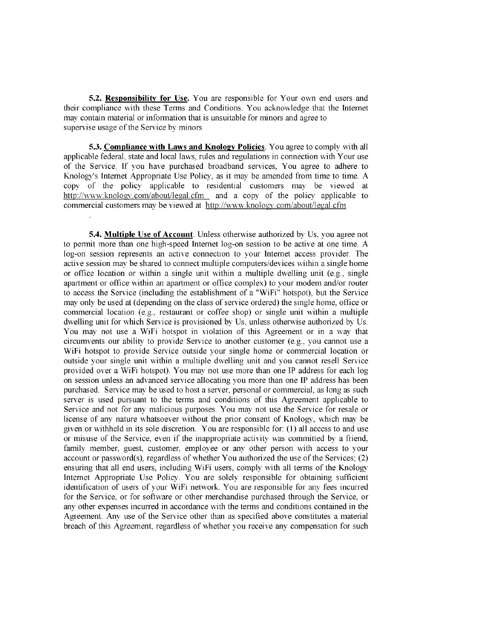5.2. Responsibilty for Use. You are responsible for Your own end users and their compliance with these Terms and Conditions. You acknowledge that the Internet may contain material or information that is unsuitable for minors and agree to supervise usage of the Service by minors.

5.3. Compliance with Laws and Knology Policies. You agree to comply with all applicable federal, state and local laws, rules and regulations in connection with Your use of the Service. If you have purchased broadband services, You agree to adhere to Knology's Internet Appropriate Use Policy, as it may be amended from time to time. A copy of the policy applicable to residential customers may be viewed at http://www.knologv.com/about/legaLcfm and a copy of the policy applicable to commercial customers may be viewed at http://www.knology.com/about/legal.cfm

**5.4. Multiple Use of Account.** Unless otherwise authorized by Us, you agree not to permt more than one high-speed Internet log-on session to be active at one time. A log-on session represents an active connection to your Internet access provider. The active session may be shared to connect multiple computers/devices within a single home or office location or within a single unit within a multiple dwelling unit (e.g., single aparment or offce within an aparment or office complex) to your modem and/or router to access the Service (including the establishment of a "WiFi" hotspot), but the Service may only be used at (depending on the class of service ordered) the single home, office or commercial location (e.g., restaurant or coffee shop) or single unit within a multiple dwelling unit for which Service is provisioned by Us, unless otherwise authorized by Us. You may not use a WiFi hotspot in violation of this Agreement or in a way that circumvents our ability to provide Service to another customer (e.g., you cannot use a WiFi hotspot to provide Service outside your single home or commercial location or outside your single unit within a multiple dwelling unit and you canot resell Service provided over a WiFi hotspot). You may not use more than one IP address for each log on session unless an advanced service allocating you more than one IP address has been purchased. Service may be used to host a server, personal or commercial, as long as such server is used pursuant to the terms and conditions of this Agreement applicable to Service and not for any malicious purposes. You may not use the Service for resale or license of any nature whatsoever without the prior consent of Knology, which may be given or withheld in its sole discretion. You are responsible for: (I) all access to and use or misuse of the Service, even if the inappropriate activity was committed by a friend, family member, guest, customer, employee or any other person with access to your account or password(s), regardless of whether You authorized the use of the Services; (2) ensurng that all end users, including WiFi users, comply with all terms of the Knology Internet Appropriate Use Policy. You are solely responsible for obtaining sufficient identification of users of your WiFi network. You are responsible for any fees incurred for the Service, or for software or other merchandise purchased through the Service, or any other expenses incurred in accordance with the terms and conditions contained in the Agreement. Any use of the Service other than as specified above constitutes a material breach of this Agreement, regardless of whether you receive any compensation for such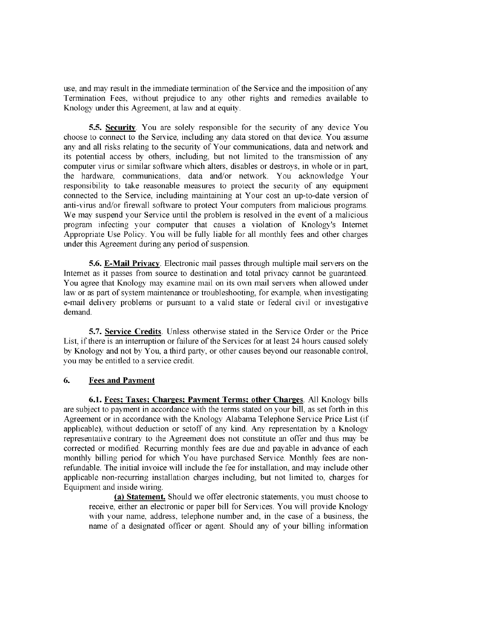use, and may result in the immediate termination of the Service and the imposition of any Termination Fees, without prejudice to any other rights and remedies available to Knology under this Agreement, at law and at equity.

5.5. Security. You are solely responsible for the security of any device You choose to connect to the Service, including any data stored on that device. You assume any and all risks relating to the security of Your communications, data and network and its potential access by others, including, but not limited to the transmission of any computer virus or similar software which alters, disables or destroys, in whole or in par, the hardware, communications, data and/or network. You acknowledge Your responsibility to take reasonable measures to protect the security of any equipment connected to the Service, including maintaining at Your cost an up-to-date version of anti-virus and/or firewall software to protect Your computers from malicious programs. We may suspend your Service until the problem is resolved in the event of a malicious program infecting your computer that causes a violation of Knology's Internet Appropriate Use Policy. You will be fully liable for all monthly fees and other charges under this Agreement during any period of suspension.

5.6. E-Mail Privacy. Electronic mail passes through multiple mail servers on the Internet as it passes from source to destination and total privacy cannot be guaranteed. You agree that Knology may examine mail on its own mail servers when allowed under law or as part of system maintenance or troubleshooting, for example, when investigating e-mail delivery problems or pursuat to a valid state or federal civil or investigative demand.

5.7. Service Credits. Unless otherwise stated in the Service Order or the Price List, if there is an interruption or failure of the Services for at least 24 hours caused solely by Knology and not by You, a third party, or other causes beyond our reasonable control, List, if there is an interruption or failur<br>by Knology and not by You, a third pa<br>you may be entitled to a service credit.

### 6. Fees and Pavment

6.1. Fees; Taxes; Charges; Payment Terms; other Charges. All Knology bills are subject to payment in accordance with the terms stated on your bill, as set forth in this Agreement or in accordance with the Knology Alabama Telephone Service Price List (if applicable), without deduction or setoff of any kind. Any representation by a Knology representative contrary to the Agreement does not constitute an offer and thus may be corrected or modified. Recurring monthly fees are due and payable in advance of each monthly billing period for which You have purchased Service. Monthly fees are nonrefundable. The initial invoice will include the fee for installation, and may include other applicable non-recurring installation charges including, but not limited to, charges for Equipment and inside wiring.

(a) Statement. Should we offer electronic statements, you must choose to receive, either an electronic or paper bill for Services. You will provide Knology with your name, address, telephone number and, in the case of a business, the name of a designated officer or agent. Should any of your billing information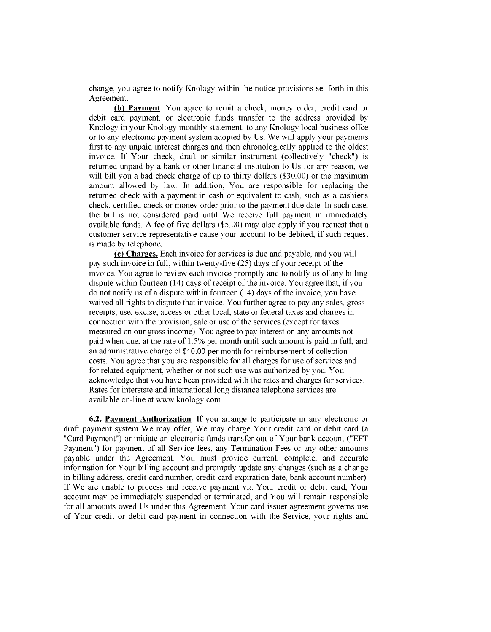change, you agree to notify Knology within the notice provisions set forth in this Agreement

(b) Payment. You agree to remit a check, money order, credit card or debit card payment, or electronic funds transfer to the address provided by Knology in your Knology monthly statement, to any Knology local business offce or to any electronic payment system adopted by Us. We wil apply your payments first to any unpaid interest charges and then chronologically applied to the oldest invoice. If Your check, draft or similar instrument (collectively "check") is retured unpaid by a bank or other financial institution to Us for any reason, we will bill you a bad check charge of up to thirty dollars  $(\$30.00)$  or the maximum amount allowed by law. In addition, You are responsible for replacing the retured check with a payment in cash or equivalent to cash, such as a cashier's check, certified check or money order prior to the payment due date. In such case, the bill is not considered paid until We receive full payment in immediately available funds. A fee of five dollars (\$5.00) may also apply if you request that a customer service representative cause your account to be debited, if such request is made by telephone.

(c) Charges. Each invoice for services is due and payable, and you will pay such invoice in full, within twenty-five (25) days of your receipt of the invoice. You agree to review each invoice promptly and to notify us of any billing dispute within fourteen  $(14)$  days of receipt of the invoice. You agree that, if you do not notify us of a dispute within fourteen (14) days of the invoice, you have waived all rights to dispute that invoice. You further agree to pay any sales, gross receipts, use, excise, access or other local, state or federal taxes and charges in connection with the provision, sale or use of the services (except for taxes measured on our gross income). You agree to pay interest on any amounts not paid when due, at the rate of 1.5% per month until such amount is paid in full, and an administrative charge of \$10.00 per month for reimbursement of collection costs. You agree that you are responsible for all charges for use of services and for related equipment, whether or not such use was authorized by you. You acknowledge that you have been provided with the rates and charges for services. Rates for interstate and international long distance telephone services are available on-line at www.knology.com

6.2. Payment Authorization. If you arrange to participate in any electronic or draft payment system We may offer, We may charge Your credit card or debit card (a "Card Payment") or initiate an electronic funds transfer out of Your bank account ("EFT Payment") for payment of all Service fees, any Termination Fees or any other amounts payable under the Agreement. You must provide current, complete, and accurate information for Your billing account and promptly update any changes (such as a change in billing address, credit card number, credit card expiration date, bank account number). If We are unable to process and receive payment via Your credit or debit card, Your account may be immediately suspended or terminated, and You will remain responsible for all amounts owed Us under this Agreement. Your card issuer agreement governs use of Your credit or debit card payment in connection with the Service, your rights and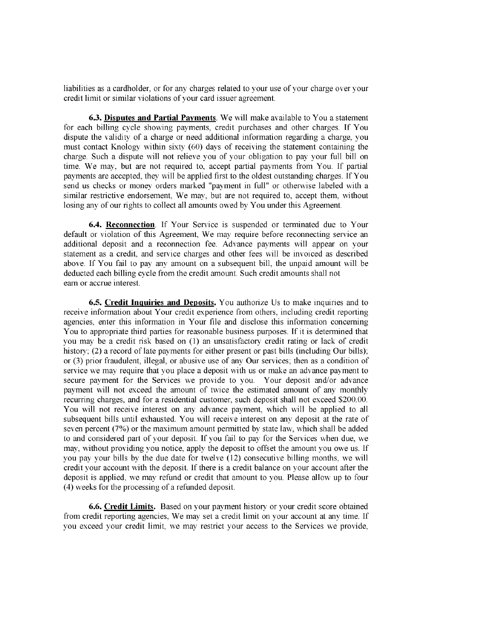liabilities as a cardholder, or for any charges related to your use of your charge over your credit limit or similar violations of your card issuer agreement.

6.3. Disputes and Partial Payments. We will make available to You a statement for each billing cycle showing payments, credit purchases and other charges. If You dispute the validity of a charge or need additional information regarding a charge, you must contact Knology within sixty (60) days of receiving the statement containing the charge. Such a dispute will not relieve you of your obligation to pay your full bill on time. We may, but are not required to, accept parial payments from You. If partial payments are accepted, they will be applied first to the oldest outstanding charges. If You send us checks or money orders marked "payment in full" or otherwise labeled with a similar restrictive endorsement, We may, but are not required to, accept them, without losing any of our rights to collect all amounts owed by You under this Agreement.

6.4. Reconnection. If Your Service is suspended or terminated due to Your default or violation of this Agreement, We may require before reconnecting service an additional deposit and a reconnection fee. Advance payments will appear on your statement as a credit, and service charges and other fees will be invoiced as described above. If You fail to pay any amount on a subsequent bill, the unpaid amount will be deducted each biling cycle from the credit amount. Such credit amounts shall not eam or accrue interest.

6.5. Credit Inquiries and Deposits. You authorize Us to make inquiries and to receive information about Your credit experience from others, including credit reporting agencies, enter this information in Your fie and disclose this information concerning You to appropriate third parties for reasonable business purposes. If it is determined that you may be a credit risk based on (1) an unsatisfactory credit rating or lack of credit history; (2) a record of late payments for either present or past bills (including Our bills); or (3) prior fraudulent, illegal, or abusive use of any Our services; then as a condition of service we may require that you place a deposit with us or make an advance payment to secure payment for the Services we provide to you. Your deposit and/or advance payment will not exceed the amount of twice the estimated amount of any monthly recurring charges, and for a residential customer, such deposit shall not exceed \$200.00. You will not receive interest on any advance payment, which will be applied to all subsequent bills until exhausted. You will receive interest on any deposit at the rate of seven percent (7%) or the maximum amount permtted by state law, which shall be added to and considered part of your deposit. If you fail to pay for the Services when due, we may, without providing you notice, apply the deposit to offset the amount you owe us. If you pay your bills by the due date for twelve (12) consecutive billing months, we will credit your account with the deposit If there is a credit balance on your account after the deposit is applied, we may refund or credit that amount to you. Please allow up to four (4) weeks for the processing of a refunded deposit.

6.6. Credit Limits. Based on your payment history or your credit score obtained from credit reporting agencies, We may set a credit limit on your account at any time. If you exceed your credit limit, we may restrict your access to the Services we provide,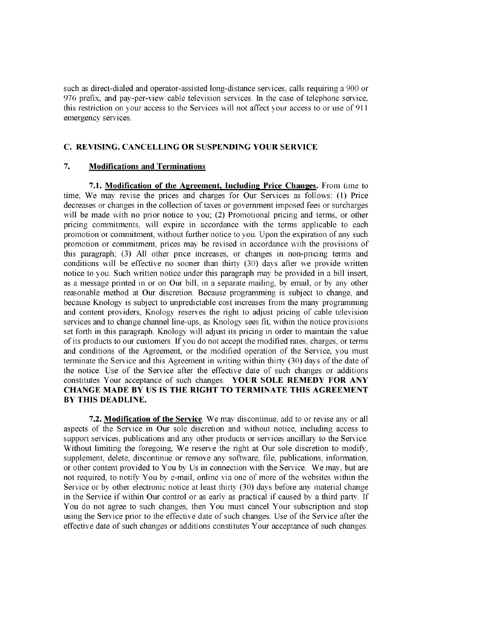such as direct-dialed and operator-assisted long-distance services, calls requiring a 900 or 976 prefix, and pay-per-view cable television services. In the case of telephone service, this restriction on your access to the Services will not affect your access to or use of 911 emergency services.

### C. REVISING. CANCELLING OR SUSPENDING YOUR SERVICE

#### 7. Modifications and Terminations

7.1. Modification of the Agreement, Including Price Changes. From time to time, We may revise the prices and charges for Our Services as follows: (I) Price decreases or changes in the collection of taxes or government imposed fees or surcharges will be made with no prior notice to you; (2) Promotional pricing and terms, or other pricing commitments, will expire in accordance with the terms applicable to each promotion or commitment, without further notice to you. Upon the expiration of any such promotion or commitment, prices may be revised in accordance with the provisions of this paragraph; (3) All other price increases, or changes in non-pricing terms and conditions will be effective no sooner than thirty (30) days after we provide written notice to you. Such wrtten notice under this paragraph may be provided in a bill insert, as a message printed in or on Our bill, in a separate mailing, by email, or by any other reasonable method at Our discretion. Because programming is subject to change, and because Knology is subject to unpredictable cost increases from the many programming and content providers, Knology reserves the right to adjust pricing of cable television services and to change chanel line-ups, as Knology sees fit, within the notice provisions set forth in this paragraph. Knology will adjust its pricing in order to maintain the value of its products to our customers. If you do not accept the modified rates, charges, or terms and conditions of the Agreement, or the modified operation of the Service, you must terminate the Service and this Agreement in writing within thirty (30) days of the date of the notice. Use of the Service after the effective date of such changes or additions constitutes Your acceptance of such changes. YOUR SOLE REMEDY FOR ANY CHANGE MADE BY US IS THE RIGHT TO TERMINATE THIS AGREEMENT BY THIS DEADLINE.

7.2. Modification of the Service. We may discontinue, add to or revise any or all aspects of the Service in Our sole discretion and without notice, including access to support services, publications and any other products or services ancillary to the Service. Without limiting the foregoing, We reserve the right at Our sole discretion to modify, supplement, delete, discontinue or remove any software, file, publications, information, or other content provided to You by Us in connection with the Service. We may, but are not required, to notify You by e-mail, online via one of more of the websites within the Service or by other electronic notice at least thirty  $(30)$  days before any material change in the Service if within Our control or as early as practical if caused by a third party. If You do not agree to such changes, then You must cancel Your subscription and stop using the Service prior to the effective date of such changes. Use of the Service after the effective date of such changes or additions constitutes Your acceptance of such changes.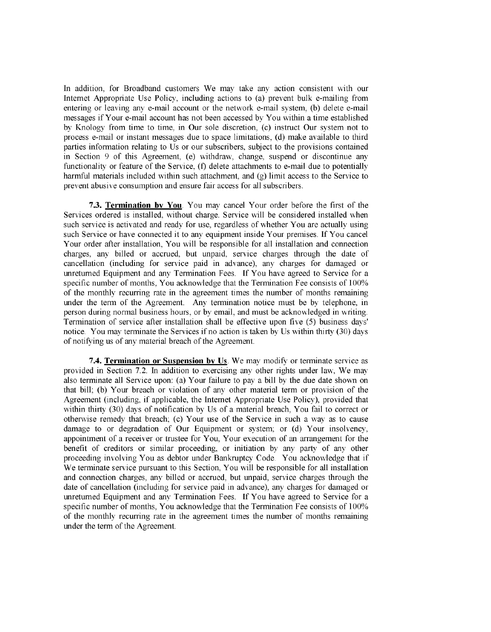In addition, for Broadband customers We may take any action consistent with our Internet Appropriate Use Policy, including actions to (a) prevent bulk e-mailing from entering or leaving any e-mail account or the network e-mail system, (b) delete e-mail messages if Your e-mail account has not been accessed by You within a time established by Knology from time to time, in Our sole discretion, (c) instruct Our system not to process e-mail or instant messages due to space limitations, (d) make available to third parties information relating to Us or our subscribers, subject to the provisions contained in Section 9 of this Agreement, (e) withdraw, change, suspend or discontinue any functionality or feature of the Service, (f) delete attachments to e-mail due to potentially harmful materials included within such attachment, and (g) limit access to the Service to prevent abusive consumption and ensure fair access for all subscribers.

7.3. Termination bv You. You may cancel Your order before the first of the Services ordered is installed, without charge. Service will be considered installed when such service is activated and ready for use, regardless of whether You are actually using such Service or have connected it to any equipment inside Your premises. If You cancel Your order afer installation, You will be responsible for all installation and connection charges, any billed or accrued, but unpaid, service charges through the date of cancellation (including for service paid in advance), any charges for damaged or unreturned Equipment and any Termnation Fees. If You have agreed to Service for a specific number of months, You acknowledge that the Termination Fee consists of 100% of the monthly recurring rate in the agreement times the number of months remaining under the term of the Agreement. Any termination notice must be by telephone, in person during normal business hours, or by email, and must be acknowledged in writing. Termination of service after installation shall be effective upon five (5) business days' notice. You may terminate the Services if no action is taken by Us within thirty  $(30)$  days of notifying us of any material breach of the Agreement

7.4. Termination or Suspension by Us. We may modify or terminate service as provided in Section 7.2. In addition to exercising any other rights under law, We may also terminate all Service upon: (a) Your failure to pay a bill by the due date shown on that bill; (b) Your breach or violation of any other material term or provision of the Agreement (including, if applicable, the Internet Appropriate Use Policy), provided that within thirty (30) days of notification by Us of a material breach, You fail to correct or otherwise remedy that breach;  $(c)$  Your use of the Service in such a way as to cause damage to or degradation of Our Equipment or system; or (d) Your insolvency, appointment of a receiver or trustee for You, Your execution of an arangement for the benefit of creditors or similar proceeding, or initiation by any party of any other proceeding involving You as debtor under Bankruptcy Code. You acknowledge that if We terminate service pursuant to this Section, You will be responsible for all installation and connection charges, any biled or accrued, but unpaid, service charges through the date of cancellation (including for service paid in advance), any charges for damaged or unreturned Equipment and any Termnation Fees. If You have agreed to Service for a specific number of months, You acknowledge that the Termination Fee consists of  $100\%$ of the monthly recurring rate in the agreement times the number of months remaining under the term of the Agreement.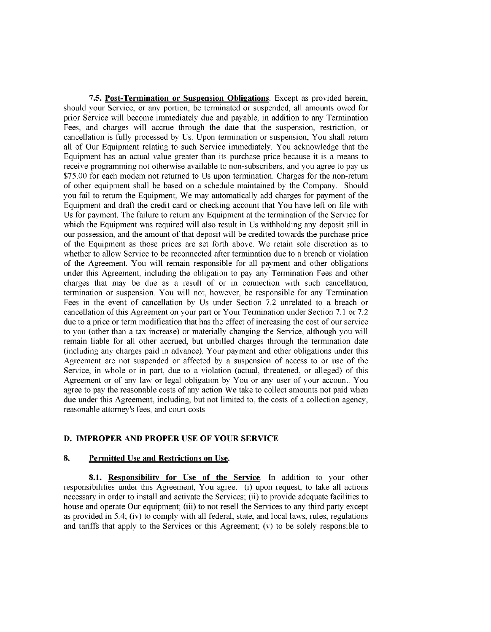7.5. Post-Termination or Suspension Obligations. Except as provided herein, should your Service, or any portion, be terminated or suspended, all amounts owed for prior Service will become immediately due and payable, in addition to any Termination Fees, and charges will accrue through the date that the suspension, restriction, or cancellation is fully processed by Us. Upon termination or suspension, You shall return all of Our Equipment relating to such Service immediately. You acknowledge that the Equipment has an actual value greater than its purchase price because it is a means to receive programming not otherwise available to non-subscribers, and you agree to pay us \$75.00 for each modem not retured to Us upon termination. Charges for the non-retur of other equipment shall be based on a schedule maintained by the Company. Should you fail to return the Equipment, We may automatically add charges for payment of the Equipment and draft the credit card or checking account that You have left on file with Us for payment. The failure to return any Equipment at the termination of the Service for which the Equipment was required will also result in Us withholding any deposit still in our possession, and the amount of that deposit will be credited towards the purchase price of the Equipment as those prices are set forth above. We retain sole discretion as to whether to allow Service to be reconnected after termination due to a breach or violation of the Agreement. You will remain responsible for all payment and other obligations under this Agreement, including the obligation to pay any Termination Fees and other charges that may be due as a result of or in connection with such cancellation, termnation or suspension. You will not, however, be responsible for any Termination Fees in the event of cancellation by Us under Section 7.2 unrelated to a breach or cancellation of this Agreement on your part or Your Termination under Section 7.1 or 7.2 due to a price or term modification that has the effect of increasing the cost of our service to you (other than a tax increase) or materially changing the Service, although you will remain liable for all other accrued, but unbilled charges through the termination date (including any charges paid in advance). Your payment and other obligations under this Agreement are not suspended or affected by a suspension of access to or use of the Service, in whole or in part, due to a violation (actual, threatened, or alleged) of this Agreement or of any law or legal obligation by You or any user of your account. You agree to pay the reasonable costs of any action We take to collect amounts not paid when due under this Agreement, including, but not limited to, the costs of a collection agency, reasonable attorney's fees, and court costs.

### D. IMPROPER AND PROPER USE OF YOUR SERVICE

#### 8. Permitted Use and Restrictions on Use.

8.1. Responsibility for Use of the Service. In addition to your other responsibilities under this Agreement, You agree: (i) upon request, to take all actions necessary in order to install and activate the Services; (ii) to provide adequate facilities to house and operate Our equipment; (iii) to not resell the Services to any third party except as provided in 5.4; (iv) to comply with all federal, state, and local laws, rules, regulations and tariffs that apply to the Services or this Agreement; (v) to be solely responsible to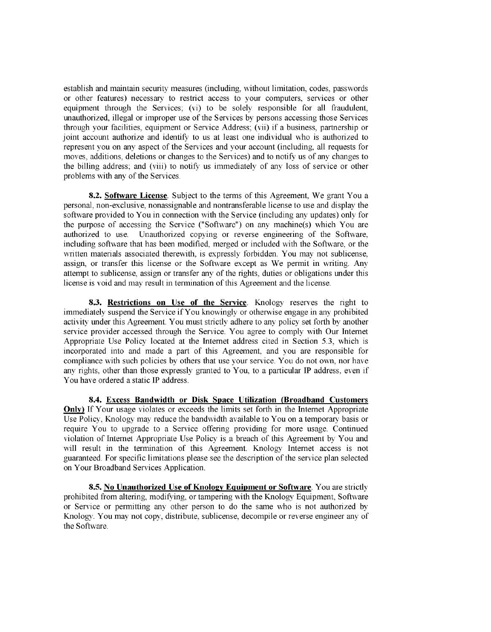establish and maintain securty measures (including, without limitation, codes, passwords or other features) necessary to restrict access to your computers, services or other equipment through the Services; (vi) to be solely responsible for all fraudulent, unauthorized, ilegal or improper use of the Services by persons accessing those Services through your facilities, equipment or Service Address; (vii) if a business, partership or joint account authorize and identify to us at least one individual who is authorized to represent you on any aspect of the Services and your account (including, all requests for moves, additions, deletions or changes to the Services) and to notify us of any changes to the billing address; and (viii) to notify us immediately of any loss of service or other problems with any of the Services.

8.2. Software License. Subject to the terms of this Agreement, We grant You a personal, non-exclusive, nonassignable and nontransferable license to use and display the software provided to You in connection with the Service (including any updates) only for the purpose of accessing the Service ("Software") on any machine(s) which You are authorized to use. Unauthorized copying or reverse engineering of the Software, including software that has been modified, merged or included with the Software, or the written materials associated therewith, is expressly forbidden. You may not sublicense, assign, or transfer this license or the Software except as We permit in writing. Any attempt to sublicense, assign or transfer any of the rights, duties or obligations under this license is void and may result in termination of this Agreement and the license.

8.3. Restrictions on Use of the Service. Knology reserves the right to immediately suspend the Service ifY ou knowingly or otherwise engage in any prohibited activity under this Agreement. You must strictly adhere to any policy set forth by another service provider accessed through the Service. You agree to comply with Our Internet Appropriate Use Policy located at the Internet address cited in Section 5.3, which is incorporated into and made a part of this Agreement, and you are responsible for compliance with such policies by others that use your service. You do not own, nor have any rights, other than those expressly granted to You, to a particular IP address, even if You have ordered a static IP address.

8.4. Excess Bandwidth or Disk Space Utilization (Broadband Customers Only) If Your usage violates or exceeds the limits set forth in the Internet Appropriate Use Policy, Knology may reduce the bandwidth available to You on a temporary basis or require You to upgrade to a Service offering providing for more usage. Continued violation of Internet Appropriate Use Policy is a breach of this Agreement by You and will result in the termination of this Agreement. Knology Internet access is not guaranteed. For specific limitations please see the description of the service plan selected on Your Broadband Services Application.

8.5. No Unauthorized Use of Knology Equipment or Software. You are strictly prohibited from altering, modifying, or tampering with the Knology Equipment, Software or Service or permitting any other person to do the same who is not authorized by Knology. You may not copy, distribute, sublicense, decompile or reverse engineer any of the Software.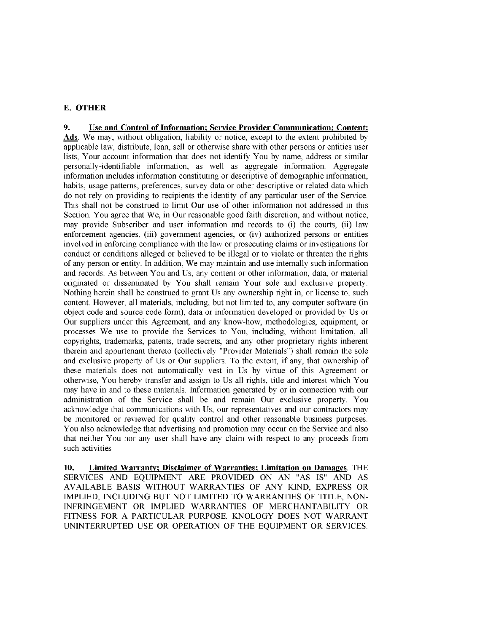# E. OTHER

9. Use and Control of Information; Service Provider Communication; Content: Ads. We may, without obligation, liability or notice, except to the extent prohibited by applicable law, distribute, loan, sell or otherwise share with other persons or entities user lists, Your account information that does not identify You by name, address or similar personally-identifiable information, as well as aggregate information. Aggregate information includes information constituting or descriptive of demographic information, habits, usage patterns, preferences, survey data or other descriptive or related data which do not rely on providing to recipients the identity of any particular user of the Service. This shall not be construed to limit Our use of other inforniation not addressed in this Section. You agree that We, in Our reasonable good faith discretion, and without notice, may provide Subscriber and user information and records to (i) the cours, (ii) law enforcement agencies, (iii) government agencies, or (iv) authorized persons or entities involved in enforcing compliance with the law or prosecuting claims or investigations for conduct or conditions alleged or believed to be illegal or to violate or threaten the rights of any person or entity. In addition, We may maintain and use internally such information and records. As between You and Us, any content or other information, data, or material originated or disseminated by You shall remain Your sole and exclusive propert. Nothing herein shall be construed to grant Us any ownership right in, or license to, such content. However, all materials, including, but not limited to, any computer software (in object code and source code form), data or information developed or provided by Us or Our suppliers under this Agreement, and any know-how, methodologies, equipment, or processes We use to provide the Services to You, including, without limitation, all copyrights, trademarks, patents, trade secrets, and any other proprietary rights inherent therein and appurtenant thereto (collectively "Provider Materials") shall remain the sole and exclusive property of Us or Our suppliers. To the extent, if any, that ownership of these materials does not automatically vest in Us by virtue of this Agreement or otherwise, You hereby transfer and assign to Us all rights, title and interest which You may have in and to these materials. Information generated by or in connection with our administration of the Service shall be and remain Our exclusive propert. You acknowledge that communications with Us, our representatives and our contractors may be monitored or reviewed for quality control and other reasonable business purposes. You also acknowledge that advertising and promotion may occur on the Service and also that neither You nor any user shall have any claim with respect to any proceeds from such activities

10. Limited Warranty; Disclaimer of Warranties; Limitation on Damages. THE SERVICES AND EQUIPMENT ARE PROVIDED ON AN "AS IS" AND AS AVAILABLE BASIS WITHOUT WARRANTIES OF ANY KID, EXPRESS OR IMPLIED, INCLUDING BUT NOT LIMITED TO WARRANTIES OF TITLE, NON-INFRINGEMENT OR IMPLIED WARRANTIES OF MERCHANTABILITY OR FITNESS FOR A PARTICULAR PURPOSE. KNOLOGY DOES NOT WARRANT UNINTERRUPTED USE OR OPERATION OF THE EQUIPMENT OR SERVICES.